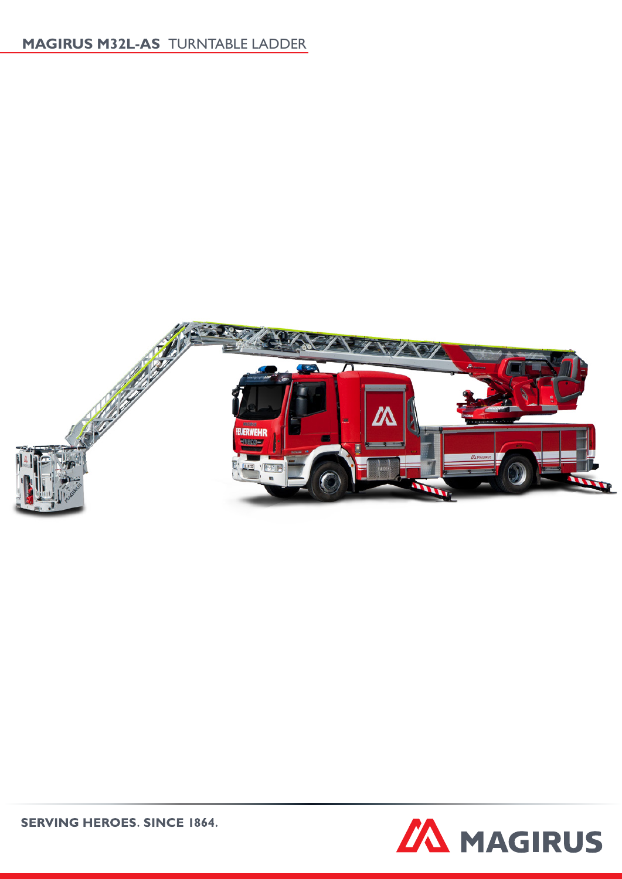# **MAGIRUS M32L-AS** TURNTABLE LADDER



**ZA MAGIRUS** 

**SERVING HEROES. SINCE 1864.**